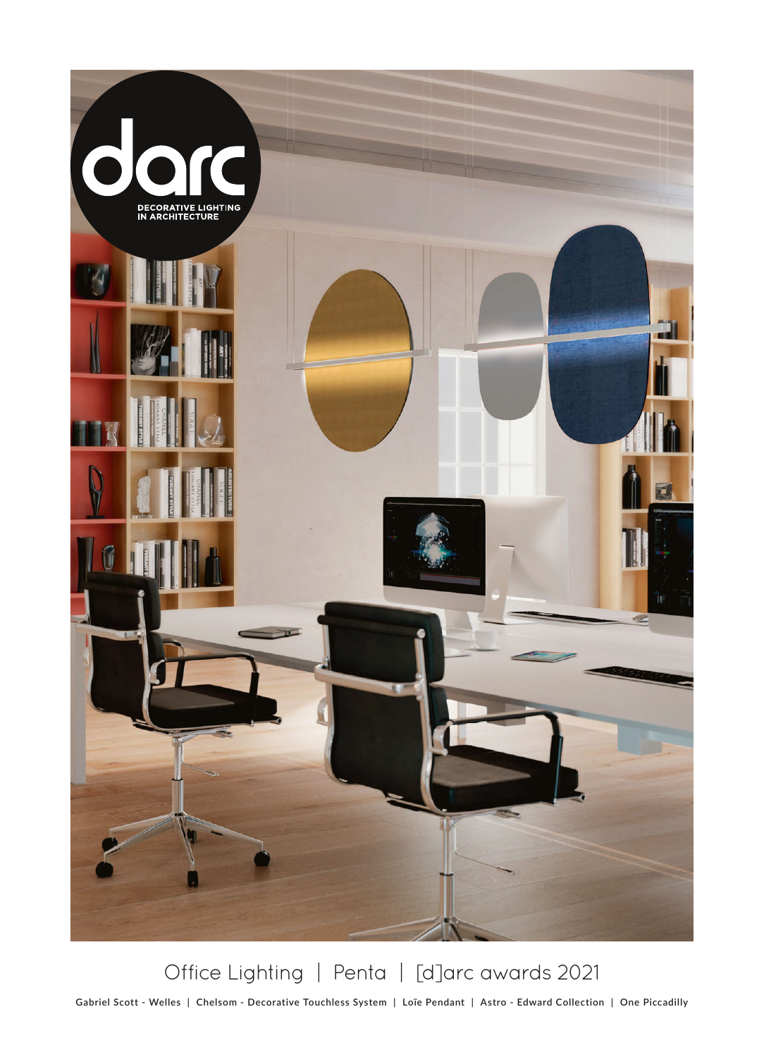

Office Lighting | Penta | [d]arc awards 2021

**Gabriel Scott - Welles | Chelsom - Decorative Touchless System | Loïe Pendant | Astro - Edward Collection | One Piccadilly**